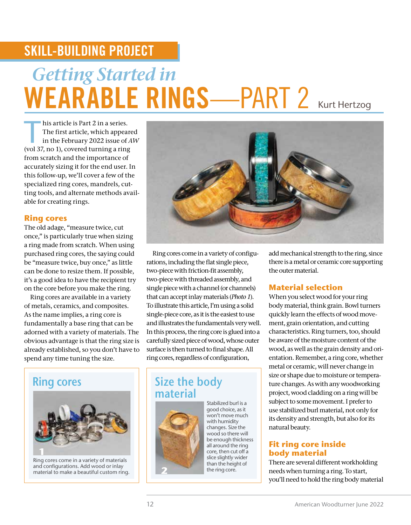## SKILL-BUILDING PROJECT

# *Getting Started in*  WEARABLE RINGS-PART 2 Kurt Hertzog

his article is Part 2 in a series.<br>
The first article, which appeared<br>
in the February 2022 issue of *AW*<br>
(vel 27 no 1), expand turning a ring The first article, which appeared (vol 37, no 1), covered turning a ring from scratch and the importance of accurately sizing it for the end user. In this follow-up, we'll cover a few of the specialized ring cores, mandrels, cutting tools, and alternate methods available for creating rings.

#### **Ring cores**

The old adage, "measure twice, cut once," is particularly true when sizing a ring made from scratch. When using purchased ring cores, the saying could be "measure twice, buy once," as little can be done to resize them. If possible, it's a good idea to have the recipient try on the core before you make the ring.

Ring cores are available in a variety of metals, ceramics, and composites. As the name implies, a ring core is fundamentally a base ring that can be adorned with a variety of materials. The obvious advantage is that the ring size is already established, so you don't have to spend any time tuning the size.



Ring cores come in a variety of materials and configurations. Add wood or inlay material to make a beautiful custom ring.



Ring cores come in a variety of configurations, including the flat single piece, two-piece with friction-fit assembly, two-piece with threaded assembly, and single piece with a channel (or channels) that can accept inlay materials (*Photo 1*). To illustrate this article, I'm using a solid single-piece core, as it is the easiest to use and illustrates the fundamentals very well. In this process, the ring core is glued into a carefully sized piece of wood, whose outer surface is then turned to final shape. All ring cores, regardless of configuration,

### **Ring cores Size the body material**



Stabilized burl is a good choice, as it won't move much with humidity changes. Size the wood so there will be enough thickness all around the ring core, then cut off a slice slightly wider than the height of the ring core.

add mechanical strength to the ring, since there is a metal or ceramic core supporting the outer material.

#### **Material selection**

When you select wood for your ring body material, think grain. Bowl turners quickly learn the effects of wood movement, grain orientation, and cutting characteristics. Ring turners, too, should be aware of the moisture content of the wood, as well as the grain density and orientation. Remember, a ring core, whether metal or ceramic, will never change in size or shape due to moisture or temperature changes. As with any woodworking project, wood cladding on a ring will be subject to some movement. I prefer to use stabilized burl material, not only for its density and strength, but also for its natural beauty.

#### **Fit ring core inside body material**

There are several different workholding needs when turning a ring. To start, you'll need to hold the ring body material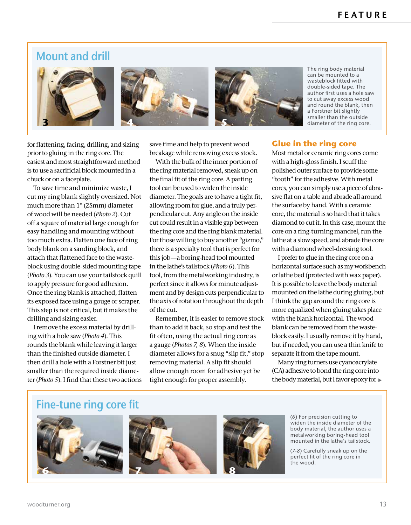### **Mount and drill**





The ring body material can be mounted to a wasteblock fitted with double-sided tape. The author first uses a hole saw to cut away excess wood and round the blank, then a Forstner bit slightly smaller than the outside diameter of the ring core.

for flattening, facing, drilling, and sizing prior to gluing in the ring core. The easiest and most straightforward method is to use a sacrificial block mounted in a chuck or on a faceplate.

To save time and minimize waste, I cut my ring blank slightly oversized. Not much more than 1" (25mm) diameter of wood will be needed (*Photo 2*). Cut off a square of material large enough for easy handling and mounting without too much extra. Flatten one face of ring body blank on a sanding block, and attach that flattened face to the wasteblock using double-sided mounting tape (*Photo 3*). You can use your tailstock quill to apply pressure for good adhesion. Once the ring blank is attached, flatten its exposed face using a gouge or scraper. This step is not critical, but it makes the drilling and sizing easier.

I remove the excess material by drilling with a hole saw (*Photo 4*). This rounds the blank while leaving it larger than the finished outside diameter. I then drill a hole with a Forstner bit just smaller than the required inside diameter (*Photo 5*). I find that these two actions save time and help to prevent wood breakage while removing excess stock.

With the bulk of the inner portion of the ring material removed, sneak up on the final fit of the ring core. A parting tool can be used to widen the inside diameter. The goals are to have a tight fit, allowing room for glue, and a truly perpendicular cut. Any angle on the inside cut could result in a visible gap between the ring core and the ring blank material. For those willing to buy another "gizmo," there is a specialty tool that is perfect for this job—a boring-head tool mounted in the lathe's tailstock (*Photo 6*). This tool, from the metalworking industry, is perfect since it allows for minute adjustment and by design cuts perpendicular to the axis of rotation throughout the depth of the cut.

Remember, it is easier to remove stock than to add it back, so stop and test the fit often, using the actual ring core as a gauge (*Photos 7, 8*). When the inside diameter allows for a snug "slip fit," stop removing material. A slip fit should allow enough room for adhesive yet be tight enough for proper assembly.

#### **Glue in the ring core**

Most metal or ceramic ring cores come with a high-gloss finish. I scuff the polished outer surface to provide some "tooth" for the adhesive. With metal cores, you can simply use a piece of abrasive flat on a table and abrade all around the surface by hand. With a ceramic core, the material is so hard that it takes diamond to cut it. In this case, mount the core on a ring-turning mandrel, run the lathe at a slow speed, and abrade the core with a diamond wheel-dressing tool.

I prefer to glue in the ring core on a horizontal surface such as my workbench or lathe bed (protected with wax paper). It is possible to leave the body material mounted on the lathe during gluing, but I think the gap around the ring core is more equalized when gluing takes place with the blank horizontal. The wood blank can be removed from the wasteblock easily. I usually remove it by hand, but if needed, you can use a thin knife to separate it from the tape mount.

Many ring turners use cyanoacrylate (CA) adhesive to bond the ring core into the body material, but I favor epoxy for

### **Fine-tune ring core fit**

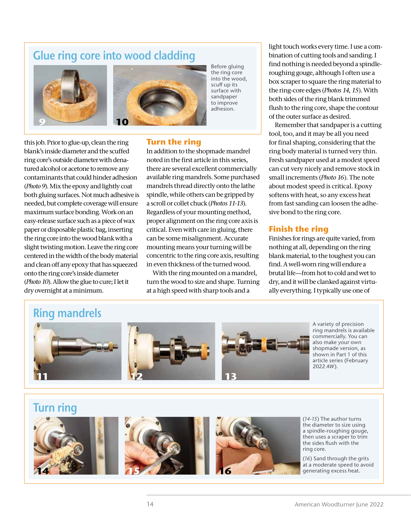### **Glue ring core into wood cladding**





Before gluing the ring core into the wood, scuff up its surface with sandpaper to improve adhesion.

#### **Turn the ring**

this job. Prior to glue-up, clean the ring blank's inside diameter and the scuffed ring core's outside diameter with denatured alcohol or acetone to remove any contaminants that could hinder adhesion (*Photo 9*). Mix the epoxy and lightly coat both gluing surfaces. Not much adhesive is needed, but complete coverage will ensure maximum surface bonding. Work on an easy-release surface such as a piece of wax paper or disposable plastic bag, inserting the ring core into the wood blank with a slight twisting motion. Leave the ring core centered in the width of the body material and clean off any epoxy that has squeezed onto the ring core's inside diameter (*Photo 10*). Allow the glue to cure; I let it dry overnight at a minimum.

In addition to the shopmade mandrel noted in the first article in this series, there are several excellent commercially available ring mandrels. Some purchased mandrels thread directly onto the lathe spindle, while others can be gripped by a scroll or collet chuck (*Photos 11-13*). Regardless of your mounting method, proper alignment on the ring core axis is critical. Even with care in gluing, there can be some misalignment. Accurate mounting means your turning will be concentric to the ring core axis, resulting in even thickness of the turned wood.

With the ring mounted on a mandrel, turn the wood to size and shape. Turning at a high speed with sharp tools and a

light touch works every time. I use a combination of cutting tools and sanding. I find nothing is needed beyond a spindleroughing gouge, although I often use a box scraper to square the ring material to the ring-core edges (*Photos 14, 15*). With both sides of the ring blank trimmed flush to the ring core, shape the contour of the outer surface as desired.

Remember that sandpaper is a cutting tool, too, and it may be all you need for final shaping, considering that the ring body material is turned very thin. Fresh sandpaper used at a modest speed can cut very nicely and remove stock in small increments (*Photo 16*). The note about modest speed is critical. Epoxy softens with heat, so any excess heat from fast sanding can loosen the adhesive bond to the ring core.

### **Finish the ring**

Finishes for rings are quite varied, from nothing at all, depending on the ring blank material, to the toughest you can find. A well-worn ring will endure a brutal life—from hot to cold and wet to dry, and it will be clanked against virtually everything. I typically use one of

### **Ring mandrels**



A variety of precision ring mandrels is available commercially. You can also make your own shopmade version, as shown in Part 1 of this article series (February 2022 *AW*).

### **Turn ring**